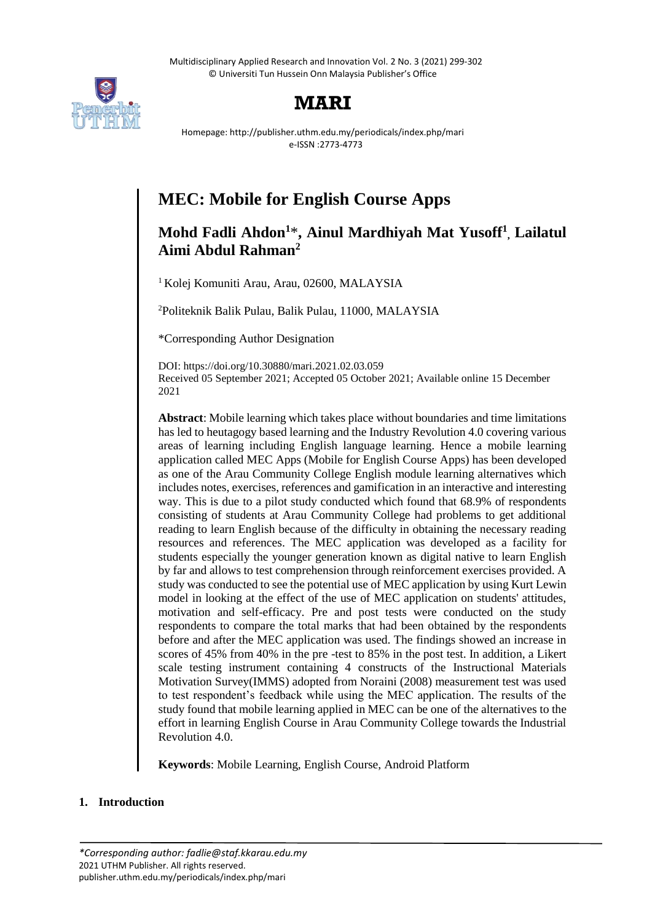Multidisciplinary Applied Research and Innovation Vol. 2 No. 3 (2021) 299-302 © Universiti Tun Hussein Onn Malaysia Publisher's Office



# **MARI**

Homepage: http://publisher.uthm.edu.my/periodicals/index.php/mari e-ISSN :2773-4773

# **MEC: Mobile for English Course Apps**

## **Mohd Fadli Ahdon<sup>1</sup>**\***, Ainul Mardhiyah Mat Yusoff<sup>1</sup> , Lailatul Aimi Abdul Rahman<sup>2</sup>**

<sup>1</sup> Kolej Komuniti Arau, Arau, 02600, MALAYSIA

<sup>2</sup>Politeknik Balik Pulau, Balik Pulau, 11000, MALAYSIA

\*Corresponding Author Designation

DOI: https://doi.org/10.30880/mari.2021.02.03.059 Received 05 September 2021; Accepted 05 October 2021; Available online 15 December 2021

**Abstract**: Mobile learning which takes place without boundaries and time limitations has led to heutagogy based learning and the Industry Revolution 4.0 covering various areas of learning including English language learning. Hence a mobile learning application called MEC Apps (Mobile for English Course Apps) has been developed as one of the Arau Community College English module learning alternatives which includes notes, exercises, references and gamification in an interactive and interesting way. This is due to a pilot study conducted which found that 68.9% of respondents consisting of students at Arau Community College had problems to get additional reading to learn English because of the difficulty in obtaining the necessary reading resources and references. The MEC application was developed as a facility for students especially the younger generation known as digital native to learn English by far and allows to test comprehension through reinforcement exercises provided. A study was conducted to see the potential use of MEC application by using Kurt Lewin model in looking at the effect of the use of MEC application on students' attitudes, motivation and self-efficacy. Pre and post tests were conducted on the study respondents to compare the total marks that had been obtained by the respondents before and after the MEC application was used. The findings showed an increase in scores of 45% from 40% in the pre -test to 85% in the post test. In addition, a Likert scale testing instrument containing 4 constructs of the Instructional Materials Motivation Survey(IMMS) adopted from Noraini (2008) measurement test was used to test respondent's feedback while using the MEC application. The results of the study found that mobile learning applied in MEC can be one of the alternatives to the effort in learning English Course in Arau Community College towards the Industrial Revolution 4.0.

**Keywords**: Mobile Learning, English Course, Android Platform

### **1. Introduction**

*<sup>\*</sup>Corresponding author: fadlie@staf.kkarau.edu.my* 2021 UTHM Publisher. All rights reserved. publisher.uthm.edu.my/periodicals/index.php/mari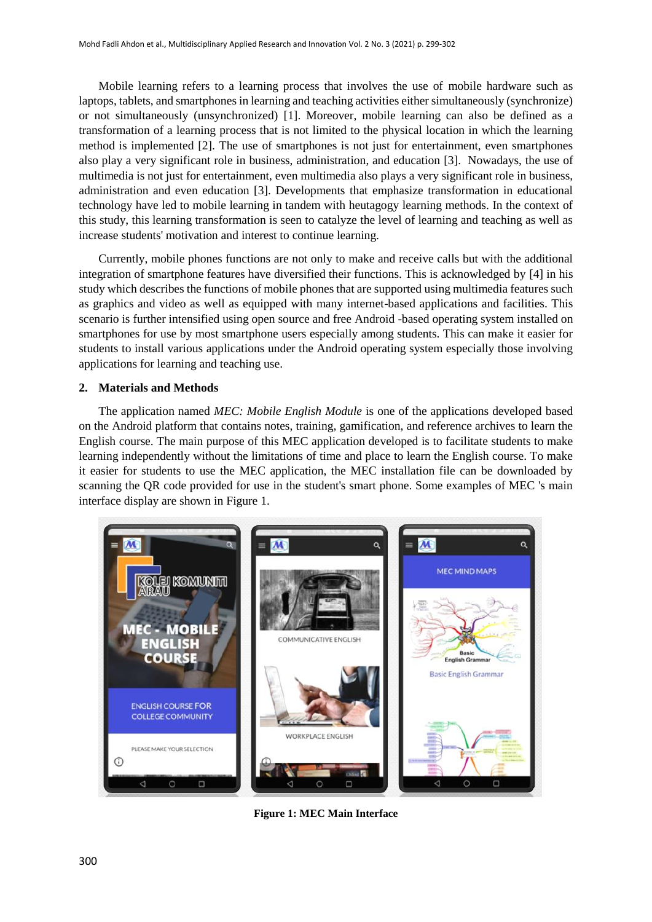Mobile learning refers to a learning process that involves the use of mobile hardware such as laptops, tablets, and smartphones in learning and teaching activities either simultaneously (synchronize) or not simultaneously (unsynchronized) [1]. Moreover, mobile learning can also be defined as a transformation of a learning process that is not limited to the physical location in which the learning method is implemented [2]. The use of smartphones is not just for entertainment, even smartphones also play a very significant role in business, administration, and education [3]. Nowadays, the use of multimedia is not just for entertainment, even multimedia also plays a very significant role in business, administration and even education [3]. Developments that emphasize transformation in educational technology have led to mobile learning in tandem with heutagogy learning methods. In the context of this study, this learning transformation is seen to catalyze the level of learning and teaching as well as increase students' motivation and interest to continue learning.

Currently, mobile phones functions are not only to make and receive calls but with the additional integration of smartphone features have diversified their functions. This is acknowledged by [4] in his study which describes the functions of mobile phones that are supported using multimedia features such as graphics and video as well as equipped with many internet-based applications and facilities. This scenario is further intensified using open source and free Android -based operating system installed on smartphones for use by most smartphone users especially among students. This can make it easier for students to install various applications under the Android operating system especially those involving applications for learning and teaching use.

#### **2. Materials and Methods**

The application named *MEC: Mobile English Module* is one of the applications developed based on the Android platform that contains notes, training, gamification, and reference archives to learn the English course. The main purpose of this MEC application developed is to facilitate students to make learning independently without the limitations of time and place to learn the English course. To make it easier for students to use the MEC application, the MEC installation file can be downloaded by scanning the QR code provided for use in the student's smart phone. Some examples of MEC 's main interface display are shown in Figure 1.



**Figure 1: MEC Main Interface**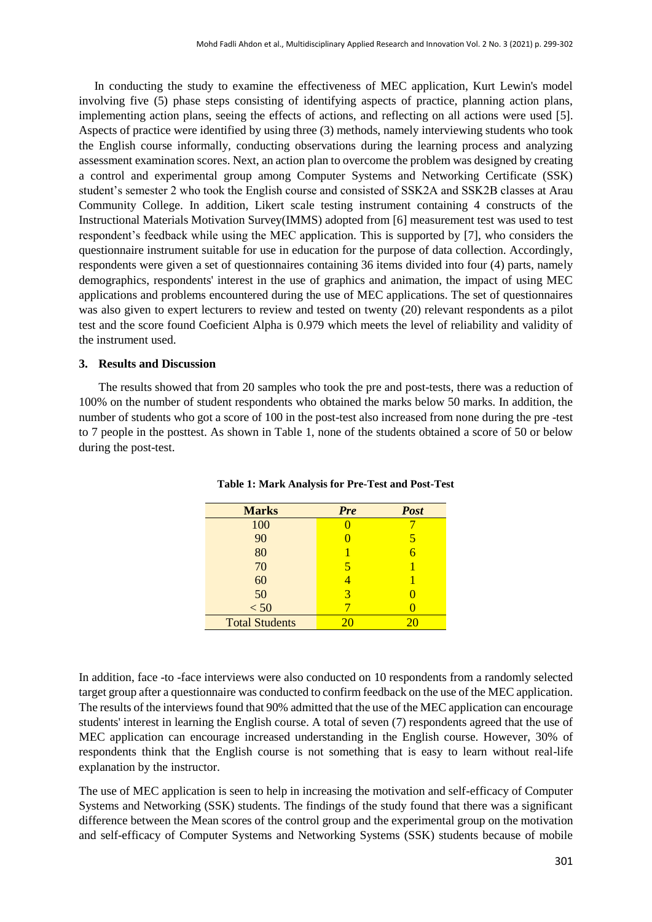In conducting the study to examine the effectiveness of MEC application, Kurt Lewin's model involving five (5) phase steps consisting of identifying aspects of practice, planning action plans, implementing action plans, seeing the effects of actions, and reflecting on all actions were used [5]. Aspects of practice were identified by using three (3) methods, namely interviewing students who took the English course informally, conducting observations during the learning process and analyzing assessment examination scores. Next, an action plan to overcome the problem was designed by creating a control and experimental group among Computer Systems and Networking Certificate (SSK) student's semester 2 who took the English course and consisted of SSK2A and SSK2B classes at Arau Community College. In addition, Likert scale testing instrument containing 4 constructs of the Instructional Materials Motivation Survey(IMMS) adopted from [6] measurement test was used to test respondent's feedback while using the MEC application. This is supported by [7], who considers the questionnaire instrument suitable for use in education for the purpose of data collection. Accordingly, respondents were given a set of questionnaires containing 36 items divided into four (4) parts, namely demographics, respondents' interest in the use of graphics and animation, the impact of using MEC applications and problems encountered during the use of MEC applications. The set of questionnaires was also given to expert lecturers to review and tested on twenty (20) relevant respondents as a pilot test and the score found Coeficient Alpha is 0.979 which meets the level of reliability and validity of the instrument used.

#### **3. Results and Discussion**

The results showed that from 20 samples who took the pre and post-tests, there was a reduction of 100% on the number of student respondents who obtained the marks below 50 marks. In addition, the number of students who got a score of 100 in the post-test also increased from none during the pre -test to 7 people in the posttest. As shown in Table 1, none of the students obtained a score of 50 or below during the post-test.

| <b>Marks</b>          | <b>Pre</b> | <b>Post</b> |
|-----------------------|------------|-------------|
| 100                   |            |             |
| 90                    |            | 5           |
| 80                    |            |             |
| 70                    | 5          |             |
| 60                    |            |             |
| 50                    | 3          |             |
| < 50                  |            |             |
| <b>Total Students</b> |            |             |

**Table 1: Mark Analysis for Pre-Test and Post-Test**

In addition, face -to -face interviews were also conducted on 10 respondents from a randomly selected target group after a questionnaire was conducted to confirm feedback on the use of the MEC application. The results of the interviews found that 90% admitted that the use of the MEC application can encourage students' interest in learning the English course. A total of seven (7) respondents agreed that the use of MEC application can encourage increased understanding in the English course. However, 30% of respondents think that the English course is not something that is easy to learn without real-life explanation by the instructor.

The use of MEC application is seen to help in increasing the motivation and self-efficacy of Computer Systems and Networking (SSK) students. The findings of the study found that there was a significant difference between the Mean scores of the control group and the experimental group on the motivation and self-efficacy of Computer Systems and Networking Systems (SSK) students because of mobile